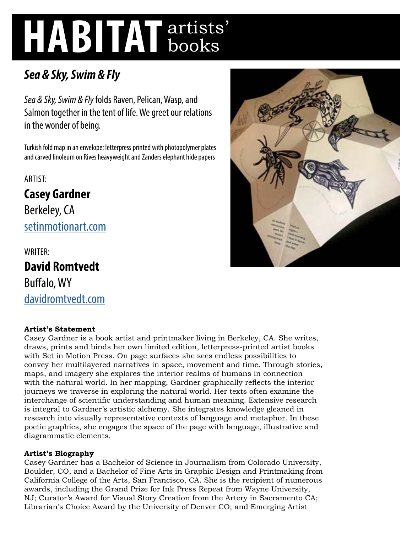# **HABITAT** artists' books

# *Sea & Sky, Swim & Fly*

*Sea & Sky, Swim & Fly* folds Raven, Pelican, Wasp, and Salmon together in the tent of life. We greet our relations in the wonder of being.

Turkish fold map in an envelope; letterpress printed with photopolymer plates and carved linoleum on Rives heavyweight and Zanders elephant hide papers

ARTIST:

**Casey Gardner**  Berkeley, CA [setinmotionart.com](http://setinmotionart.com)

WRITER: **David Romtvedt**  Buffalo, WY [davidromtvedt.com](http://davidromtvedt.com)

## **Artist's Statement**

Casey Gardner is a book artist and printmaker living in Berkeley, CA. She writes, draws, prints and binds her own limited edition, letterpress-printed artist books with Set in Motion Press. On page surfaces she sees endless possibilities to convey her multilayered narratives in space, movement and time. Through stories, maps, and imagery she explores the interior realms of humans in connection with the natural world. In her mapping, Gardner graphically reflects the interior journeys we traverse in exploring the natural world. Her texts often examine the interchange of scientific understanding and human meaning. Extensive research is integral to Gardner's artistic alchemy. She integrates knowledge gleaned in research into visually representative contexts of language and metaphor. In these poetic graphics, she engages the space of the page with language, illustrative and diagrammatic elements.

### **Artist's Biography**

Casey Gardner has a Bachelor of Science in Journalism from Colorado University, Boulder, CO, and a Bachelor of Fine Arts in Graphic Design and Printmaking from California College of the Arts, San Francisco, CA. She is the recipient of numerous awards, including the Grand Prize for Ink Press Repeat from Wayne University, NJ; Curator's Award for Visual Story Creation from the Artery in Sacramento CA; Librarian's Choice Award by the University of Denver CO; and Emerging Artist

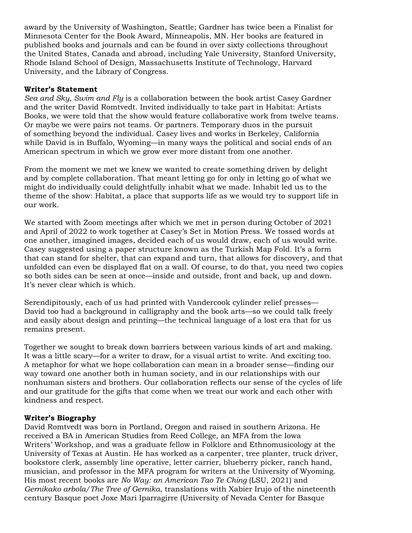award by the University of Washington, Seattle; Gardner has twice been a Finalist for Minnesota Center for the Book Award, Minneapolis, MN. Her books are featured in published books and journals and can be found in over sixty collections throughout the United States, Canada and abroad, including Yale University, Stanford University, Rhode Island School of Design, Massachusetts Institute of Technology, Harvard University, and the Library of Congress.

#### **Writer's Statement**

*Sea and Sky, Swim and Fly* is a collaboration between the book artist Casey Gardner and the writer David Romtvedt. Invited individually to take part in Habitat: Artists Books, we were told that the show would feature collaborative work from twelve teams. Or maybe we were pairs not teams. Or partners. Temporary duos in the pursuit of something beyond the individual. Casey lives and works in Berkeley, California while David is in Buffalo, Wyoming—in many ways the political and social ends of an American spectrum in which we grow ever more distant from one another.

From the moment we met we knew we wanted to create something driven by delight and by complete collaboration. That meant letting go for only in letting go of what we might do individually could delightfully inhabit what we made. Inhabit led us to the theme of the show: Habitat, a place that supports life as we would try to support life in our work.

We started with Zoom meetings after which we met in person during October of 2021 and April of 2022 to work together at Casey's Set in Motion Press. We tossed words at one another, imagined images, decided each of us would draw, each of us would write. Casey suggested using a paper structure known as the Turkish Map Fold. It's a form that can stand for shelter, that can expand and turn, that allows for discovery, and that unfolded can even be displayed flat on a wall. Of course, to do that, you need two copies so both sides can be seen at once—inside and outside, front and back, up and down. It's never clear which is which.

Serendipitously, each of us had printed with Vandercook cylinder relief presses— David too had a background in calligraphy and the book arts—so we could talk freely and easily about design and printing—the technical language of a lost era that for us remains present.

Together we sought to break down barriers between various kinds of art and making. It was a little scary—for a writer to draw, for a visual artist to write. And exciting too. A metaphor for what we hope collaboration can mean in a broader sense—finding our way toward one another both in human society, and in our relationships with our nonhuman sisters and brothers. Our collaboration reflects our sense of the cycles of life and our gratitude for the gifts that come when we treat our work and each other with kindness and respect.

#### **Writer's Biography**

David Romtvedt was born in Portland, Oregon and raised in southern Arizona. He received a BA in American Studies from Reed College, an MFA from the Iowa Writers' Workshop, and was a graduate fellow in Folklore and Ethnomusicology at the University of Texas at Austin. He has worked as a carpenter, tree planter, truck driver, bookstore clerk, assembly line operative, letter carrier, blueberry picker, ranch hand, musician, and professor in the MFA program for writers at the University of Wyoming. His most recent books are *No Way: an American Tao Te Ching* (LSU, 2021) and *Gernikako arbola/The Tree of Gernika*, translations with Xabier Irujo of the nineteenth century Basque poet Joxe Mari Iparragirre (University of Nevada Center for Basque